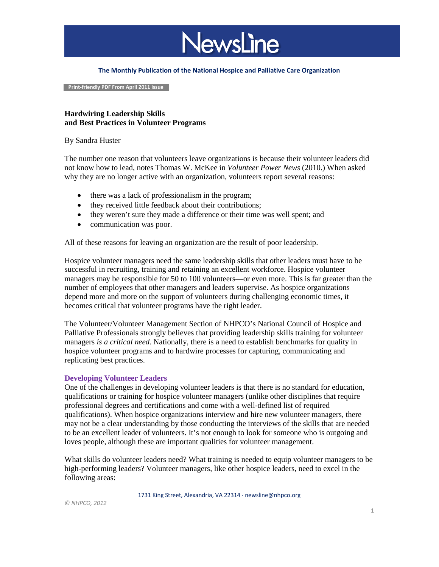

#### **The Monthly Publication of the National Hospice and Palliative Care Organization**

 **Print-friendly PDF From April 2011 Issue**

## **Hardwiring Leadership Skills and Best Practices in Volunteer Programs**

#### By Sandra Huster

The number one reason that volunteers leave organizations is because their volunteer leaders did not know how to lead, notes Thomas W. McKee in *Volunteer Power News* (2010.) When asked why they are no longer active with an organization, volunteers report several reasons:

- there was a lack of professionalism in the program;
- they received little feedback about their contributions;
- they weren't sure they made a difference or their time was well spent; and
- communication was poor.

All of these reasons for leaving an organization are the result of poor leadership.

Hospice volunteer managers need the same leadership skills that other leaders must have to be successful in recruiting, training and retaining an excellent workforce. Hospice volunteer managers may be responsible for 50 to 100 volunteers—or even more. This is far greater than the number of employees that other managers and leaders supervise. As hospice organizations depend more and more on the support of volunteers during challenging economic times, it becomes critical that volunteer programs have the right leader.

The Volunteer/Volunteer Management Section of NHPCO's National Council of Hospice and Palliative Professionals strongly believes that providing leadership skills training for volunteer managers *is a critical need*. Nationally, there is a need to establish benchmarks for quality in hospice volunteer programs and to hardwire processes for capturing, communicating and replicating best practices.

### **Developing Volunteer Leaders**

One of the challenges in developing volunteer leaders is that there is no standard for education, qualifications or training for hospice volunteer managers (unlike other disciplines that require professional degrees and certifications and come with a well-defined list of required qualifications). When hospice organizations interview and hire new volunteer managers, there may not be a clear understanding by those conducting the interviews of the skills that are needed to be an excellent leader of volunteers. It's not enough to look for someone who is outgoing and loves people, although these are important qualities for volunteer management.

What skills do volunteer leaders need? What training is needed to equip volunteer managers to be high-performing leaders? Volunteer managers, like other hospice leaders, need to excel in the following areas:

1731 King Street, Alexandria, VA 22314 ⋅ [newsline@nhpco.org](mailto:newsline@nhpco.org)

*© NHPCO, 2012*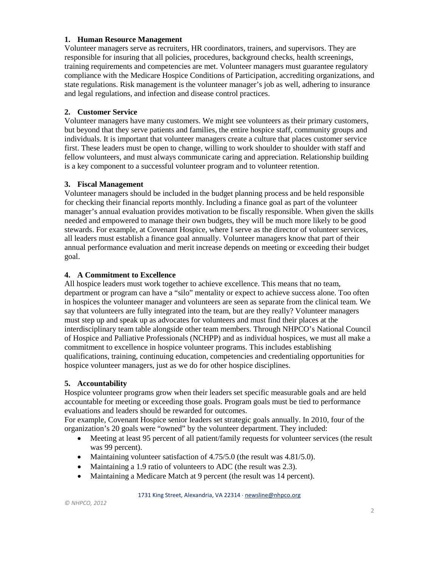## **1. Human Resource Management**

Volunteer managers serve as recruiters, HR coordinators, trainers, and supervisors. They are responsible for insuring that all policies, procedures, background checks, health screenings, training requirements and competencies are met. Volunteer managers must guarantee regulatory compliance with the Medicare Hospice Conditions of Participation, accrediting organizations, and state regulations. Risk management is the volunteer manager's job as well, adhering to insurance and legal regulations, and infection and disease control practices.

# **2. Customer Service**

Volunteer managers have many customers. We might see volunteers as their primary customers, but beyond that they serve patients and families, the entire hospice staff, community groups and individuals. It is important that volunteer managers create a culture that places customer service first. These leaders must be open to change, willing to work shoulder to shoulder with staff and fellow volunteers, and must always communicate caring and appreciation. Relationship building is a key component to a successful volunteer program and to volunteer retention.

## **3. Fiscal Management**

Volunteer managers should be included in the budget planning process and be held responsible for checking their financial reports monthly. Including a finance goal as part of the volunteer manager's annual evaluation provides motivation to be fiscally responsible. When given the skills needed and empowered to manage their own budgets, they will be much more likely to be good stewards. For example, at Covenant Hospice, where I serve as the director of volunteer services, all leaders must establish a finance goal annually. Volunteer managers know that part of their annual performance evaluation and merit increase depends on meeting or exceeding their budget goal.

## **4. A Commitment to Excellence**

All hospice leaders must work together to achieve excellence. This means that no team, department or program can have a "silo" mentality or expect to achieve success alone. Too often in hospices the volunteer manager and volunteers are seen as separate from the clinical team. We say that volunteers are fully integrated into the team, but are they really? Volunteer managers must step up and speak up as advocates for volunteers and must find their places at the interdisciplinary team table alongside other team members. Through NHPCO's National Council of Hospice and Palliative Professionals (NCHPP) and as individual hospices, we must all make a commitment to excellence in hospice volunteer programs. This includes establishing qualifications, training, continuing education, competencies and credentialing opportunities for hospice volunteer managers, just as we do for other hospice disciplines.

# **5. Accountability**

Hospice volunteer programs grow when their leaders set specific measurable goals and are held accountable for meeting or exceeding those goals. Program goals must be tied to performance evaluations and leaders should be rewarded for outcomes.

For example, Covenant Hospice senior leaders set strategic goals annually. In 2010, four of the organization's 20 goals were "owned" by the volunteer department. They included:

- Meeting at least 95 percent of all patient/family requests for volunteer services (the result was 99 percent).
- Maintaining volunteer satisfaction of 4.75/5.0 (the result was 4.81/5.0).
- Maintaining a 1.9 ratio of volunteers to ADC (the result was 2.3).
- Maintaining a Medicare Match at 9 percent (the result was 14 percent).

1731 King Street, Alexandria, VA 22314 ⋅ [newsline@nhpco.org](mailto:newsline@nhpco.org)

*© NHPCO, 2012*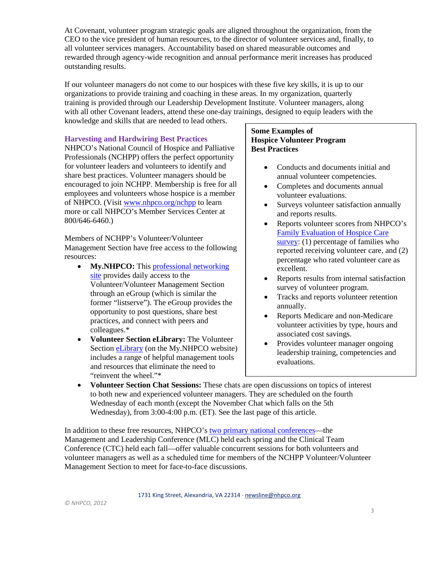At Covenant, volunteer program strategic goals are aligned throughout the organization, from the CEO to the vice president of human resources, to the director of volunteer services and, finally, to all volunteer services managers. Accountability based on shared measurable outcomes and rewarded through agency-wide recognition and annual performance merit increases has produced outstanding results.

If our volunteer managers do not come to our hospices with these five key skills, it is up to our organizations to provide training and coaching in these areas. In my organization, quarterly training is provided through our Leadership Development Institute. Volunteer managers, along with all other Covenant leaders, attend these one-day trainings, designed to equip leaders with the knowledge and skills that are needed to lead others.

## **Harvesting and Hardwiring Best Practices**

NHPCO's National Council of Hospice and Palliative Professionals (NCHPP) offers the perfect opportunity for volunteer leaders and volunteers to identify and share best practices. Volunteer managers should be encouraged to join NCHPP. Membership is free for all employees and volunteers whose hospice is a member of NHPCO. (Visit [www.nhpco.org/nchpp](http://www.nhpco.org/nchpp) to learn more or call NHPCO's Member Services Center at 800/646-6460.)

Members of NCHPP's Volunteer/Volunteer Management Section have free access to the following resources:

- **My.NHPCO:** This [professional networking](http://my.nhpco.org/NHPCO/NHPCO/Home/default.aspx)  [site](http://my.nhpco.org/NHPCO/NHPCO/Home/default.aspx) provides daily access to the Volunteer/Volunteer Management Section through an eGroup (which is similar the former "listserve"). The eGroup provides the opportunity to post questions, share best practices, and connect with peers and colleagues.\*
- **Volunteer Section eLibrary:** The Volunteer Sectio[n eLibrary](http://my.nhpco.org/NHPCO/NHPCO/eGroups/AllDiscussions/Default.aspx) (on the My.NHPCO website) includes a range of helpful management tools and resources that eliminate the need to "reinvent the wheel."\*

## **Some Examples of Hospice Volunteer Program Best Practices**

- Conducts and documents initial and annual volunteer competencies.
- Completes and documents annual volunteer evaluations.
- Surveys volunteer satisfaction annually and reports results.
- Reports volunteer scores from NHPCO's [Family Evaluation of Hospice Care](http://www.nhpco.org/fehc)  [survey:](http://www.nhpco.org/fehc) (1) percentage of families who reported receiving volunteer care, and (2) percentage who rated volunteer care as excellent.
- Reports results from internal satisfaction survey of volunteer program.
- Tracks and reports volunteer retention annually.
- Reports Medicare and non-Medicare volunteer activities by type, hours and associated cost savings.
- Provides volunteer manager ongoing leadership training, competencies and evaluations.
- **Volunteer Section Chat Sessions:** These chats are open discussions on topics of interest to both new and experienced volunteer managers. They are scheduled on the fourth Wednesday of each month (except the November Chat which falls on the 5th Wednesday), from 3:00-4:00 p.m. (ET). See the last page of this article.

In addition to these free resources, NHPCO's [two primary national conferences—](http://www.nhpco.org/i4a/pages/index.cfm?pageID=6221)the Management and Leadership Conference (MLC) held each spring and the Clinical Team Conference (CTC) held each fall—offer valuable concurrent sessions for both volunteers and volunteer managers as well as a scheduled time for members of the NCHPP Volunteer/Volunteer Management Section to meet for face-to-face discussions.

1731 King Street, Alexandria, VA 22314 ⋅ [newsline@nhpco.org](mailto:newsline@nhpco.org)